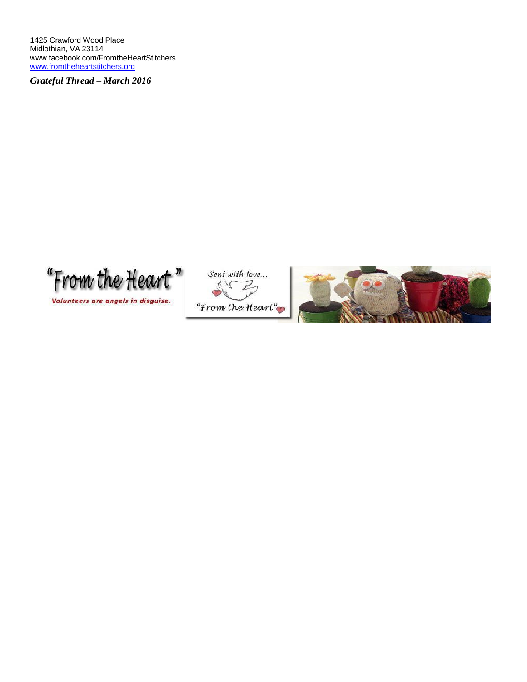1425 Crawford Wood Place Midlothian, VA 23114 [www.facebook.com/FromtheHeartStitchers](http://www.facebook.com/FromtheHeartStitchers) [www.fromtheheartstitchers.org](http://www.fromtheheartstitchers.org/)

*Grateful Thread – March 2016*

"From the Heart"

Volunteers are angels in disguise.



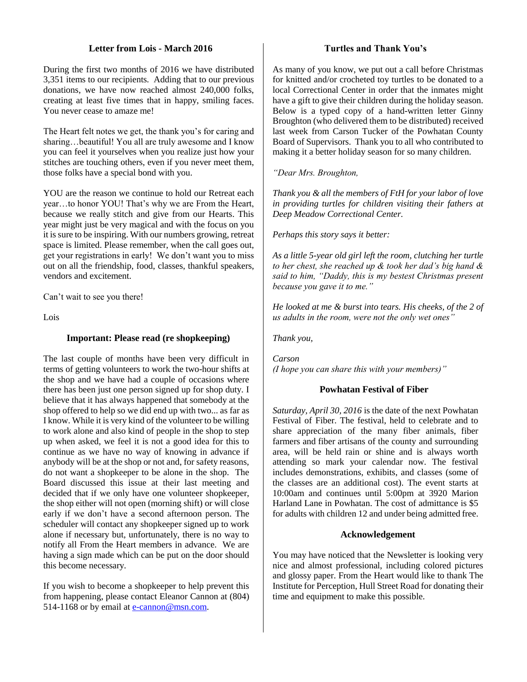# **Letter from Lois - March 2016**

During the first two months of 2016 we have distributed 3,351 items to our recipients. Adding that to our previous donations, we have now reached almost 240,000 folks, creating at least five times that in happy, smiling faces. You never cease to amaze me!

The Heart felt notes we get, the thank you's for caring and sharing...beautiful! You all are truly awesome and I know you can feel it yourselves when you realize just how your stitches are touching others, even if you never meet them, those folks have a special bond with you.

YOU are the reason we continue to hold our Retreat each year…to honor YOU! That's why we are From the Heart, because we really stitch and give from our Hearts. This year might just be very magical and with the focus on you it is sure to be inspiring. With our numbers growing, retreat space is limited. Please remember, when the call goes out, get your registrations in early! We don't want you to miss out on all the friendship, food, classes, thankful speakers, vendors and excitement.

Can't wait to see you there!

Lois

# **Important: Please read (re shopkeeping)**

The last couple of months have been very difficult in terms of getting volunteers to work the two-hour shifts at the shop and we have had a couple of occasions where there has been just one person signed up for shop duty. I believe that it has always happened that somebody at the shop offered to help so we did end up with two... as far as I know. While it is very kind of the volunteer to be willing to work alone and also kind of people in the shop to step up when asked, we feel it is not a good idea for this to continue as we have no way of knowing in advance if anybody will be at the shop or not and, for safety reasons, do not want a shopkeeper to be alone in the shop. The Board discussed this issue at their last meeting and decided that if we only have one volunteer shopkeeper, the shop either will not open (morning shift) or will close early if we don't have a second afternoon person. The scheduler will contact any shopkeeper signed up to work alone if necessary but, unfortunately, there is no way to notify all From the Heart members in advance. We are having a sign made which can be put on the door should this become necessary.

If you wish to become a shopkeeper to help prevent this from happening, please contact Eleanor Cannon at (804) 514-1168 or by email at [e-cannon@msn.com.](mailto:e-cannon@msn.com)

#### **Turtles and Thank You's**

As many of you know, we put out a call before Christmas for knitted and/or crocheted toy turtles to be donated to a local Correctional Center in order that the inmates might have a gift to give their children during the holiday season. Below is a typed copy of a hand-written letter Ginny Broughton (who delivered them to be distributed) received last week from Carson Tucker of the Powhatan County Board of Supervisors. Thank you to all who contributed to making it a better holiday season for so many children.

*"Dear Mrs. Broughton,*

*Thank you & all the members of FtH for your labor of love in providing turtles for children visiting their fathers at Deep Meadow Correctional Center.*

*Perhaps this story says it better:* 

*As a little 5-year old girl left the room, clutching her turtle to her chest, she reached up & took her dad's big hand & said to him, "Daddy, this is my bestest Christmas present because you gave it to me."*

*He looked at me & burst into tears. His cheeks, of the 2 of us adults in the room, were not the only wet ones"*

*Thank you,*

*Carson (I hope you can share this with your members)"*

# **Powhatan Festival of Fiber**

*Saturday, April 30, 2016* is the date of the next Powhatan Festival of Fiber. The festival, held to celebrate and to share appreciation of the many fiber animals, fiber farmers and fiber artisans of the county and surrounding area, will be held rain or shine and is always worth attending so mark your calendar now. The festival includes demonstrations, exhibits, and classes (some of the classes are an additional cost). The event starts at 10:00am and continues until 5:00pm at 3920 Marion Harland Lane in Powhatan. The cost of admittance is \$5 for adults with children 12 and under being admitted free.

#### **Acknowledgement**

You may have noticed that the Newsletter is looking very nice and almost professional, including colored pictures and glossy paper. From the Heart would like to thank The Institute for Perception, Hull Street Road for donating their time and equipment to make this possible.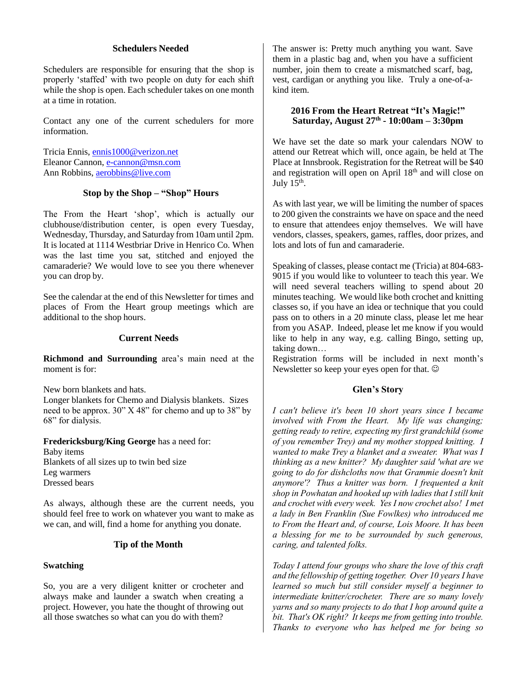# **Schedulers Needed**

Schedulers are responsible for ensuring that the shop is properly 'staffed' with two people on duty for each shift while the shop is open. Each scheduler takes on one month at a time in rotation.

Contact any one of the current schedulers for more information.

Tricia Ennis, [ennis1000@verizon.net](mailto:ennis1000@verizon.net) Eleanor Cannon[, e-cannon@msn.com](mailto:e-cannon@msn.com) Ann Robbins, [aerobbins@live.com](mailto:aerobbins@live.com)

#### **Stop by the Shop – "Shop" Hours**

The From the Heart 'shop', which is actually our clubhouse/distribution center, is open every Tuesday, Wednesday, Thursday, and Saturday from 10am until 2pm. It is located at 1114 Westbriar Drive in Henrico Co. When was the last time you sat, stitched and enjoyed the camaraderie? We would love to see you there whenever you can drop by.

See the calendar at the end of this Newsletter for times and places of From the Heart group meetings which are additional to the shop hours.

#### **Current Needs**

**Richmond and Surrounding** area's main need at the moment is for:

New born blankets and hats.

Longer blankets for Chemo and Dialysis blankets. Sizes need to be approx. 30" X 48" for chemo and up to 38" by 68" for dialysis.

**Fredericksburg/King George** has a need for: Baby items Blankets of all sizes up to twin bed size Leg warmers Dressed bears

As always, although these are the current needs, you should feel free to work on whatever you want to make as we can, and will, find a home for anything you donate.

# **Tip of the Month**

#### **Swatching**

So, you are a very diligent knitter or crocheter and always make and launder a swatch when creating a project. However, you hate the thought of throwing out all those swatches so what can you do with them?

The answer is: Pretty much anything you want. Save them in a plastic bag and, when you have a sufficient number, join them to create a mismatched scarf, bag, vest, cardigan or anything you like. Truly a one-of-akind item.

#### **2016 From the Heart Retreat "It's Magic!" Saturday, August 27th - 10:00am – 3:30pm**

We have set the date so mark your calendars NOW to attend our Retreat which will, once again, be held at The Place at Innsbrook. Registration for the Retreat will be \$40 and registration will open on April 18th and will close on July  $15<sup>th</sup>$ .

As with last year, we will be limiting the number of spaces to 200 given the constraints we have on space and the need to ensure that attendees enjoy themselves. We will have vendors, classes, speakers, games, raffles, door prizes, and lots and lots of fun and camaraderie.

Speaking of classes, please contact me (Tricia) at 804-683- 9015 if you would like to volunteer to teach this year. We will need several teachers willing to spend about 20 minutes teaching. We would like both crochet and knitting classes so, if you have an idea or technique that you could pass on to others in a 20 minute class, please let me hear from you ASAP. Indeed, please let me know if you would like to help in any way, e.g. calling Bingo, setting up, taking down…

Registration forms will be included in next month's Newsletter so keep your eyes open for that.  $\odot$ 

#### **Glen's Story**

*I can't believe it's been 10 short years since I became involved with From the Heart. My life was changing; getting ready to retire, expecting my first grandchild (some of you remember Trey) and my mother stopped knitting. I wanted to make Trey a blanket and a sweater. What was I thinking as a new knitter? My daughter said 'what are we going to do for dishcloths now that Grammie doesn't knit anymore'? Thus a knitter was born. I frequented a knit shop in Powhatan and hooked up with ladies that I still knit and crochet with every week. Yes I now crochet also! I met a lady in Ben Franklin (Sue Fowlkes) who introduced me to From the Heart and, of course, Lois Moore. It has been a blessing for me to be surrounded by such generous, caring, and talented folks.*

*Today I attend four groups who share the love of this craft and the fellowship of getting together. Over 10 years I have learned so much but still consider myself a beginner to intermediate knitter/crocheter. There are so many lovely yarns and so many projects to do that I hop around quite a bit. That's OK right? It keeps me from getting into trouble. Thanks to everyone who has helped me for being so*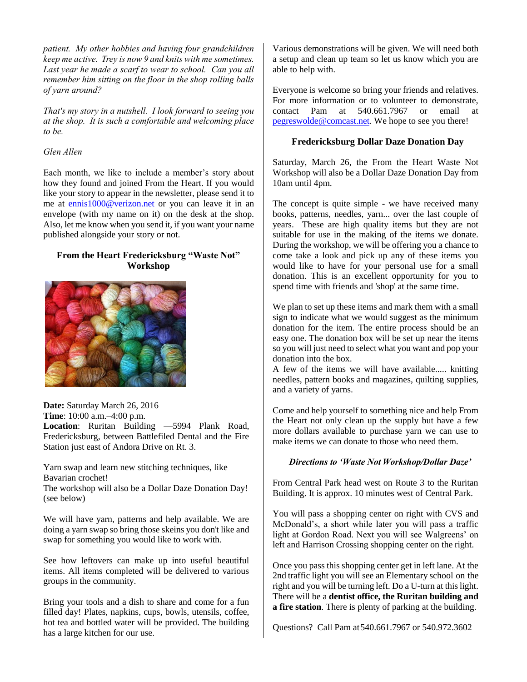*patient. My other hobbies and having four grandchildren keep me active. Trey is now 9 and knits with me sometimes.*  Last year he made a scarf to wear to school. Can you all *remember him sitting on the floor in the shop rolling balls of yarn around?*

*That's my story in a nutshell. I look forward to seeing you at the shop. It is such a comfortable and welcoming place to be.*

# *Glen Allen*

Each month, we like to include a member's story about how they found and joined From the Heart. If you would like your story to appear in the newsletter, please send it to me at ennis1000@verizon.net or you can leave it in an envelope (with my name on it) on the desk at the shop. Also, let me know when you send it, if you want your name published alongside your story or not.

# **From the Heart Fredericksburg "Waste Not" Workshop**



**Date:** Saturday March 26, 2016

**Time**: 10:00 a.m.–4:00 p.m.

**Location**: Ruritan Building —5994 Plank Road, Fredericksburg, between Battlefiled Dental and the Fire Station just east of Andora Drive on Rt. 3.

Yarn swap and learn new stitching techniques, like Bavarian crochet!

The workshop will also be a Dollar Daze Donation Day! (see below)

We will have yarn, patterns and help available. We are doing a yarn swap so bring those skeins you don't like and swap for something you would like to work with.

See how leftovers can make up into useful beautiful items. All items completed will be delivered to various groups in the community.

Bring your tools and a dish to share and come for a fun filled day! Plates, napkins, cups, bowls, utensils, coffee, hot tea and bottled water will be provided. The building has a large kitchen for our use.

Various demonstrations will be given. We will need both a setup and clean up team so let us know which you are able to help with.

Everyone is welcome so bring your friends and relatives. For more information or to volunteer to demonstrate, contact Pam at 540.661.7967 or email at [pegreswolde@comcast.net.](mailto:pegreswolde@comcast.net) We hope to see you there!

# **Fredericksburg Dollar Daze Donation Day**

Saturday, March 26, the From the Heart Waste Not Workshop will also be a Dollar Daze Donation Day from 10am until 4pm.

The concept is quite simple - we have received many books, patterns, needles, yarn... over the last couple of years. These are high quality items but they are not suitable for use in the making of the items we donate. During the workshop, we will be offering you a chance to come take a look and pick up any of these items you would like to have for your personal use for a small donation. This is an excellent opportunity for you to spend time with friends and 'shop' at the same time.

We plan to set up these items and mark them with a small sign to indicate what we would suggest as the minimum donation for the item. The entire process should be an easy one. The donation box will be set up near the items so you will just need to select what you want and pop your donation into the box.

A few of the items we will have available..... knitting needles, pattern books and magazines, quilting supplies, and a variety of yarns.

Come and help yourself to something nice and help From the Heart not only clean up the supply but have a few more dollars available to purchase yarn we can use to make items we can donate to those who need them.

# *Directions to 'Waste Not Workshop/Dollar Daze'*

From Central Park head west on Route 3 to the Ruritan Building. It is approx. 10 minutes west of Central Park.

You will pass a shopping center on right with CVS and McDonald's, a short while later you will pass a traffic light at Gordon Road. Next you will see Walgreens' on left and Harrison Crossing shopping center on the right.

Once you pass this shopping center get in left lane. At the 2nd traffic light you will see an Elementary school on the right and you will be turning left. Do a U-turn at this light. There will be a **dentist office, the Ruritan building and a fire station**. There is plenty of parking at the building.

Questions? Call Pam at540.661.7967 or 540.972.3602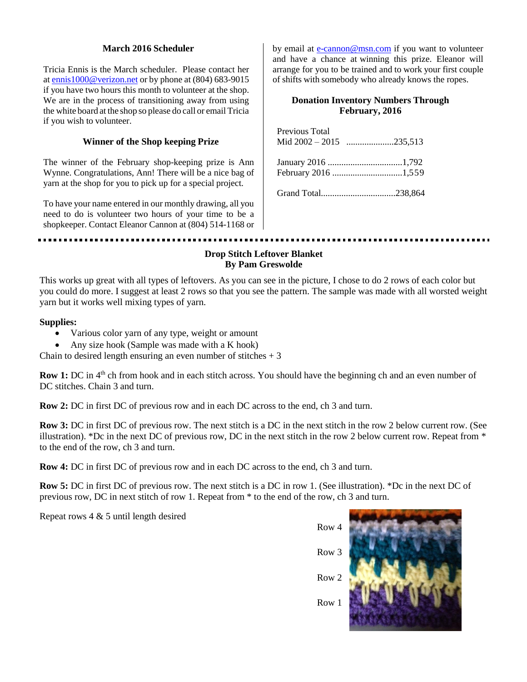# **March 2016 Scheduler**

Tricia Ennis is the March scheduler. Please contact her a[t ennis1000@verizon.net](mailto:ennis1000@verizon.net) or by phone at (804) 683-9015 if you have two hours this month to volunteer at the shop. We are in the process of transitioning away from using the white board at the shop so please do call or email Tricia if you wish to volunteer.

# **Winner of the Shop keeping Prize**

The winner of the February shop-keeping prize is Ann Wynne. Congratulations, Ann! There will be a nice bag of yarn at the shop for you to pick up for a special project.

To have your name entered in our monthly drawing, all you need to do is volunteer two hours of your time to be a shopkeeper. Contact Eleanor Cannon at (804) 514-1168 or by email at [e-cannon@msn.com](mailto:e-cannon@msn.com) if you want to volunteer and have a chance at winning this prize. Eleanor will arrange for you to be trained and to work your first couple of shifts with somebody who already knows the ropes.

# **Donation Inventory Numbers Through February, 2016**

| Previous Total |                     |
|----------------|---------------------|
|                | February 2016 1,559 |
|                |                     |

# **Drop Stitch Leftover Blanket By Pam Greswolde**

This works up great with all types of leftovers. As you can see in the picture, I chose to do 2 rows of each color but you could do more. I suggest at least 2 rows so that you see the pattern. The sample was made with all worsted weight yarn but it works well mixing types of yarn.

# **Supplies:**

- Various color yarn of any type, weight or amount
- Any size hook (Sample was made with a K hook)

Chain to desired length ensuring an even number of stitches  $+3$ 

**Row 1:** DC in 4<sup>th</sup> ch from hook and in each stitch across. You should have the beginning ch and an even number of DC stitches. Chain 3 and turn.

**Row 2:** DC in first DC of previous row and in each DC across to the end, ch 3 and turn.

**Row 3:** DC in first DC of previous row. The next stitch is a DC in the next stitch in the row 2 below current row. (See illustration). \*Dc in the next DC of previous row, DC in the next stitch in the row 2 below current row. Repeat from \* to the end of the row, ch 3 and turn.

**Row 4:** DC in first DC of previous row and in each DC across to the end, ch 3 and turn.

**Row 5:** DC in first DC of previous row. The next stitch is a DC in row 1. (See illustration). \*Dc in the next DC of previous row, DC in next stitch of row 1. Repeat from \* to the end of the row, ch 3 and turn.

Repeat rows 4 & 5 until length desired



Row 3

Row 1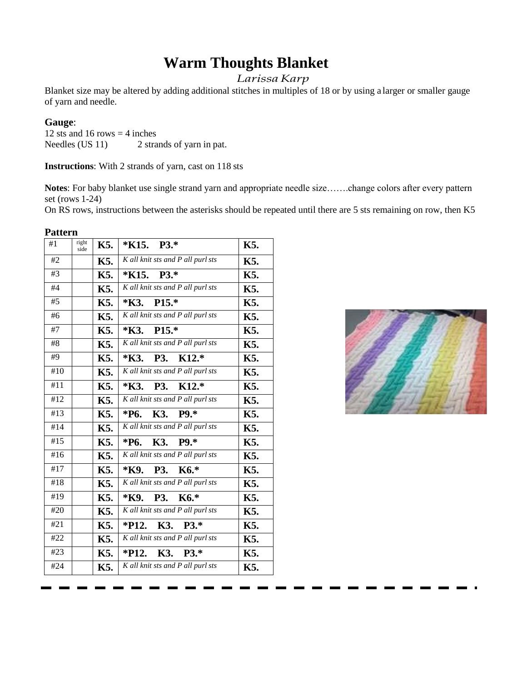# **Warm Thoughts Blanket**

# *LarissaKarp*

Blanket size may be altered by adding additional stitches in multiples of 18 or by using a larger or smaller gauge of yarn and needle.

# **Gauge**:

12 sts and 16 rows  $=$  4 inches Needles (US 11) 2 strands of yarn in pat.

**Instructions**: With 2 strands of yarn, cast on 118 sts

**Notes**: For baby blanket use single strand yarn and appropriate needle size…….change colors after every pattern set (rows 1-24)

On RS rows, instructions between the asterisks should be repeated until there are 5 sts remaining on row, then K5

| <b>Pattern</b>   |               |     |                                   |     |
|------------------|---------------|-----|-----------------------------------|-----|
| #1               | right<br>side | K5. | $*K15. P3.*$                      | K5. |
| #2               |               | K5. | K all knit sts and P all purl sts | K5. |
| #3               |               | K5. | $*K15. P3.*$                      | K5. |
| #4               |               | K5. | K all knit sts and P all purl sts | K5. |
| #5               |               | K5. | $*K3.$ P15.*                      | K5. |
| #6               |               | K5. | K all knit sts and P all purl sts | K5. |
| #7               |               | K5. | $*K3.$ P15.*                      | K5. |
| #8               |               | K5. | K all knit sts and P all purl sts | K5. |
| #9               |               | K5. | *K3. P3. K12.*                    | K5. |
| #10              |               | K5. | K all knit sts and P all purl sts | K5. |
| $\overline{411}$ |               | K5. | *K3. P3. K12.*                    | K5. |
| #12              |               | K5. | K all knit sts and P all purl sts | K5. |
| #13              |               | K5. | $*P6. K3. P9.*$                   | K5. |
| #14              |               | K5. | K all knit sts and P all purl sts | K5. |
| #15              |               | K5. | $*P6. K3. P9.*$                   | K5. |
| #16              |               | K5. | K all knit sts and P all purl sts | K5. |
| #17              |               | K5. | *K9. P3.<br>K6.*                  | K5. |
| #18              |               | K5. | K all knit sts and P all purl sts | K5. |
| #19              |               | K5. | *K9. P3.<br>$K6.*$                | K5. |
| #20              |               | K5. | K all knit sts and P all purl sts | K5. |
| #21              |               | K5. | $K3. P3.*$<br>$*P12.$             | K5. |
| #22              |               | K5. | K all knit sts and P all purl sts | K5. |
| #23              |               | K5. | *P12. K3. P3.*                    | K5. |
| #24              |               | K5. | K all knit sts and P all purl sts | K5. |

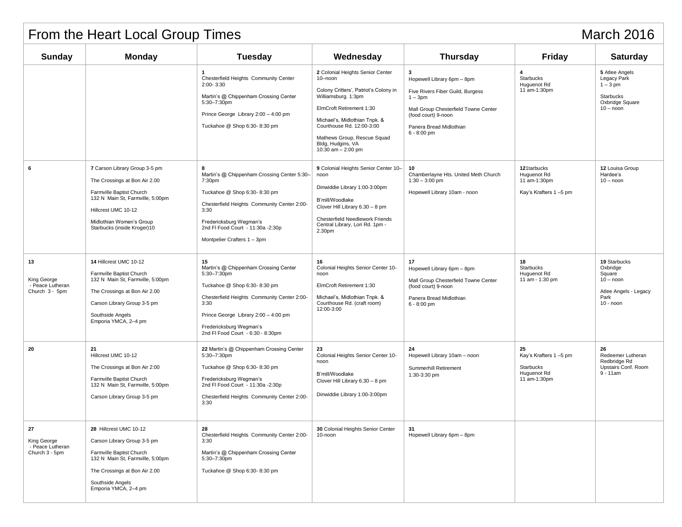| <b>March 2016</b><br>From the Heart Local Group Times   |                                                                                                                                                                                                                  |                                                                                                                                                                                                                                                           |                                                                                                                                                                                                                                                                                   |                                                                                                                                                                                             |                                                                         |                                                                                                   |
|---------------------------------------------------------|------------------------------------------------------------------------------------------------------------------------------------------------------------------------------------------------------------------|-----------------------------------------------------------------------------------------------------------------------------------------------------------------------------------------------------------------------------------------------------------|-----------------------------------------------------------------------------------------------------------------------------------------------------------------------------------------------------------------------------------------------------------------------------------|---------------------------------------------------------------------------------------------------------------------------------------------------------------------------------------------|-------------------------------------------------------------------------|---------------------------------------------------------------------------------------------------|
| <b>Sunday</b>                                           | <b>Monday</b>                                                                                                                                                                                                    | <b>Tuesday</b>                                                                                                                                                                                                                                            | Wednesday                                                                                                                                                                                                                                                                         | <b>Thursday</b>                                                                                                                                                                             | <b>Friday</b>                                                           | <b>Saturday</b>                                                                                   |
|                                                         |                                                                                                                                                                                                                  | $\mathbf{1}$<br>Chesterfield Heights Community Center<br>$2:00 - 3:30$<br>Martin's @ Chippenham Crossing Center<br>5:30-7:30pm<br>Prince George Library 2:00 - 4:00 pm<br>Tuckahoe @ Shop 6:30-8:30 pm                                                    | 2 Colonial Heights Senior Center<br>10-noon<br>Colony Critters', Patriot's Colony in<br>Williamsburg. 1:3pm<br>ElmCroft Retirement 1:30<br>Michael's, Midlothian Tnpk. &<br>Courthouse Rd. 12:00-3:00<br>Mathews Group, Rescue Squad<br>Bldg, Hudgins, VA<br>10:30 am $- 2:00$ pm | 3<br>Hopewell Library 6pm - 8pm<br>Five Rivers Fiber Guild, Burgess<br>$1 - 3pm$<br>Mall Group Chesterfield Towne Center<br>(food court) 9-noon<br>Panera Bread Midlothian<br>$6 - 8:00$ pm | $\overline{4}$<br>Starbucks<br>Huguenot Rd<br>11 am-1:30pm              | 5 Atlee Angels<br>Legacy Park<br>$1-3$ pm<br>Starbucks<br>Oxbridge Square<br>$10 -$ noon          |
| 6                                                       | 7 Carson Library Group 3-5 pm<br>The Crossings at Bon Air 2.00<br>Farmville Baptist Church<br>132 N Main St, Farmville, 5:00pm<br>Hillcrest UMC 10-12<br>Midlothian Women's Group<br>Starbucks (inside Kroger)10 | 8<br>Martin's @ Chippenham Crossing Center 5:30-<br>7:30pm<br>Tuckahoe @ Shop 6:30-8:30 pm<br>Chesterfield Heights Community Center 2:00-<br>3:30<br>Fredericksburg Wegman's<br>2nd FI Food Court - 11:30a - 2:30p<br>Montpelier Crafters 1 - 3pm         | 9 Colonial Heights Senior Center 10-<br>noon<br>Dinwiddie Library 1:00-3:00pm<br>B'mill/Woodlake<br>Clover Hill Library 6.30 - 8 pm<br><b>Chesterfield Needlework Friends</b><br>Central Library, Lori Rd. 1pm -<br>2.30pm                                                        | 10<br>Chamberlayne Hts. United Meth Church<br>$1:30 - 3:00$ pm<br>Hopewell Library 10am - noon                                                                                              | 121tarbucks<br>Huguenot Rd<br>11 am-1:30pm<br>Kay's Krafters 1-5 pm     | 12 Louisa Group<br>Hardee's<br>$10 -$ noon                                                        |
| 13<br>King George<br>- Peace Lutheran<br>Church 3 - 5pm | 14 Hillcrest UMC 10-12<br>Farmville Baptist Church<br>132 N Main St, Farmville, 5:00pm<br>The Crossings at Bon Air 2.00<br>Carson Library Group 3-5 pm<br>Southside Angels<br>Emporia YMCA, 2-4 pm               | 15<br>Martin's @ Chippenham Crossing Center<br>5:30-7:30pm<br>Tuckahoe @ Shop 6:30-8:30 pm<br>Chesterfield Heights Community Center 2:00-<br>3:30<br>Prince George Library 2:00 - 4:00 pm<br>Fredericksburg Wegman's<br>2nd FI Food Court - 6:30 - 8:30pm | 16<br>Colonial Heights Senior Center 10-<br>noon<br>ElmCroft Retirement 1:30<br>Michael's, Midlothian Tnpk. &<br>Courthouse Rd. (craft room)<br>12:00-3:00                                                                                                                        | 17<br>Hopewell Library 6pm - 8pm<br>Mall Group Chesterfield Towne Center<br>(food court) 9-noon<br>Panera Bread Midlothian<br>$6 - 8:00$ pm                                                 | 18<br>Starbucks<br>Huguenot Rd<br>11 am - 1:30 pm                       | 19 Starbucks<br>Oxbridge<br>Square<br>$10 -$ noon<br>Atlee Angels - Legacy<br>Park<br>$10 -$ noon |
| 20                                                      | 21<br>Hillcrest UMC 10-12<br>The Crossings at Bon Air 2:00<br>Farmville Baptist Church<br>132 N Main St, Farmville, 5:00pm<br>Carson Library Group 3-5 pm                                                        | 22 Martin's @ Chippenham Crossing Center<br>5:30-7:30pm<br>Tuckahoe @ Shop 6:30-8:30 pm<br>Fredericksburg Wegman's<br>2nd FI Food Court - 11:30a - 2:30p<br>Chesterfield Heights Community Center 2:00-<br>3:30                                           | 23<br>Colonial Heights Senior Center 10-<br>noon<br>B'mill/Woodlake<br>Clover Hill Library 6.30 - 8 pm<br>Dinwiddie Library 1:00-3:00pm                                                                                                                                           | 24<br>Hopewell Library 10am - noon<br>Summerhill Retirement<br>1:30-3:30 pm                                                                                                                 | 25<br>Kay's Krafters 1-5 pm<br>Starbucks<br>Huguenot Rd<br>11 am-1:30pm | 26<br>Redeemer Lutheran<br>Redbridge Rd<br>Upstairs Conf. Room<br>$9 - 11$ am                     |
| 27<br>King George<br>- Peace Lutheran<br>Church 3 - 5pm | 28 Hillcrest UMC 10-12<br>Carson Library Group 3-5 pm<br>Farmville Baptist Church<br>132 N Main St, Farmville, 5:00pm<br>The Crossings at Bon Air 2.00<br>Southside Angels<br>Emporia YMCA, 2-4 pm               | 28<br>Chesterfield Heights Community Center 2:00-<br>3:30<br>Martin's @ Chippenham Crossing Center<br>5:30-7:30pm<br>Tuckahoe @ Shop 6:30-8:30 pm                                                                                                         | 30 Colonial Heights Senior Center<br>10-noon                                                                                                                                                                                                                                      | 31<br>Hopewell Library 6pm - 8pm                                                                                                                                                            |                                                                         |                                                                                                   |